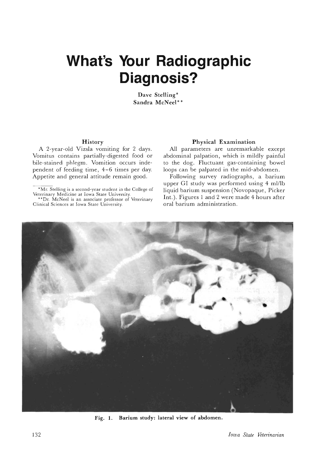# **What's Your Radiographic Diagnosis?**

Dave Stelling\* Sandra McNeel\*\*

#### History

A 2-year-old Vizsla vomiting for 2 days. Vomitus contains partially-digested food or bile-stained phlegm. Vomition occurs independent of feeding time, 4-6 times per day. Appetite and general attitude remain good.

#### Physical Examination

All parameters are unremarkable except abdominal palpation, which is mildly painful to the dog. Fluctuant gas-containing bowel loops can be palpated in the mid-abdomen.

Following survey radiographs, a barium upper GI study was performed using 4 ml/lb liquid barium suspension (Novopaque, Picker Int.). Figures 1 and 2 were made 4 hours after oral barium administration.



Fig. 1. Barium study: lateral view of abdomen.

<sup>\*</sup>Mr. Stelling is a second-year student in the College of Veterinary Medicine at Iowa State University.

<sup>\*\*</sup>Dr. McNeel is an associate professor of Veterinary Clinical Sciences at Iowa State University.